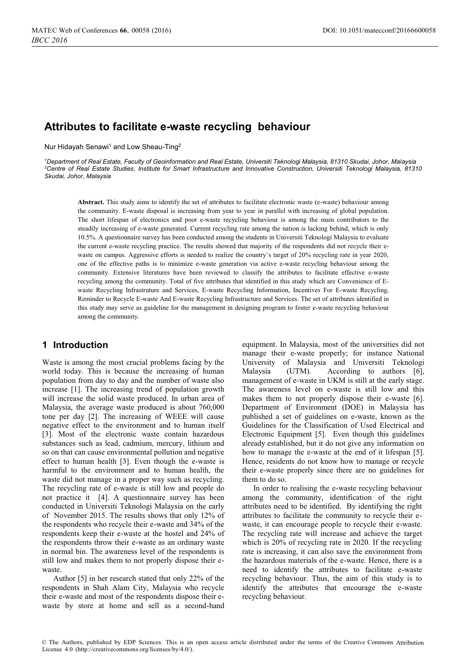# **Attributes to facilitate e-waste recycling behaviour**

Nur Hidayah Senawi<sup>1</sup> and Low Sheau-Ting<sup>2</sup>

*1 Department of Real Estate, Faculty of Geoinformation and Real Estate, Universiti Teknologi Malaysia, 81310 Skudai, Johor, Malaysia 2 Centre of Real Estate Studies, Institute for Smart Infrastructure and Innovative Construction, Universiti Teknologi Malaysia, 81310 Skudai, Johor, Malaysia* 

**Abstract.** This study aims to identify the set of attributes to facilitate electronic waste (e-waste) behaviour among the community. E-waste disposal is increasing from year to year in parallel with increasing of global population. The short lifespan of electronics and poor e-waste recycling behaviour is among the main contributors to the steadily increasing of e-waste generated. Current recycling rate among the nation is lacking behind, which is only 10.5%. A questionnaire survey has been conducted among the students in Universiti Teknologi Malaysia to evaluate the current e-waste recycling practice. The results showed that majority of the respondents did not recycle their ewaste on campus. Aggressive efforts is needed to realize the country's target of 20% recycling rate in year 2020, one of the effective paths is to minimize e-waste generation via active e-waste recycling behaviour among the community. Extensive literatures have been reviewed to classify the attributes to facilitate effective e-waste recycling among the community. Total of five attributes that identified in this study which are Convenience of Ewaste Recycling Infrastruture and Services, E-waste Recycling Information, Incentives For E-waste Recycling, Reminder to Recycle E-waste And E-waste Recycling Infrastructure and Services. The set of attributes identified in this study may serve as guideline for the management in designing program to foster e-waste recycling behaviour among the community.

## **1 Introduction**

Waste is among the most crucial problems facing by the world today. This is because the increasing of human population from day to day and the number of waste also increase [1]. The increasing trend of population growth will increase the solid waste produced. In urban area of Malaysia, the average waste produced is about 760,000 tone per day [2]. The increasing of WEEE will cause negative effect to the environment and to human itself [3]. Most of the electronic waste contain hazardous substances such as lead, cadmium, mercury, lithium and so on that can cause environmental pollution and negative effect to human health [3]. Even though the e-waste is harmful to the environment and to human health, the waste did not manage in a proper way such as recycling. The recycling rate of e-waste is still low and people do not practice it [4]. A questionnaire survey has been conducted in Universiti Teknologi Malaysia on the early of November 2015. The results shows that only 12% of the respondents who recycle their e-waste and 34% of the respondents keep their e-waste at the hostel and 24% of the respondents throw their e-waste as an ordinary waste in normal bin. The awareness level of the respondents is still low and makes them to not properly dispose their ewaste.

Author [5] in her research stated that only 22% of the respondents in Shah Alam City, Malaysia who recycle their e-waste and most of the respondents dispose their ewaste by store at home and sell as a second-hand

equipment. In Malaysia, most of the universities did not manage their e-waste properly; for instance National University of Malaysia and Universiti Teknologi Malaysia (UTM). According to authors [6], management of e-waste in UKM is still at the early stage. The awareness level on e-waste is still low and this makes them to not properly dispose their e-waste [6]. Department of Environment (DOE) in Malaysia has published a set of guidelines on e-waste, known as the Guidelines for the Classification of Used Electrical and Electronic Equipment [5]. Even though this guidelines already established, but it do not give any information on how to manage the e-waste at the end of it lifespan [5]. Hence, residents do not know how to manage or recycle their e-waste properly since there are no guidelines for them to do so.

In order to realising the e-waste recycling behaviour among the community, identification of the right attributes need to be identified. By identifying the right attributes to facilitate the community to recycle their ewaste, it can encourage people to recycle their e-waste. The recycling rate will increase and achieve the target which is 20% of recycling rate in 2020. If the recycling rate is increasing, it can also save the environment from the hazardous materials of the e-waste. Hence, there is a need to identify the attributes to facilitate e-waste recycling behaviour. Thus, the aim of this study is to identify the attributes that encourage the e-waste recycling behaviour.

© The Authors, published by EDP Sciences. This is an open access article distributed under the terms of the Creative Commons Attribution License 4.0 [\(http://creativecommons.org/licenses/by/4.0/\).](http://creativecommons.org/licenses/by/4.0/)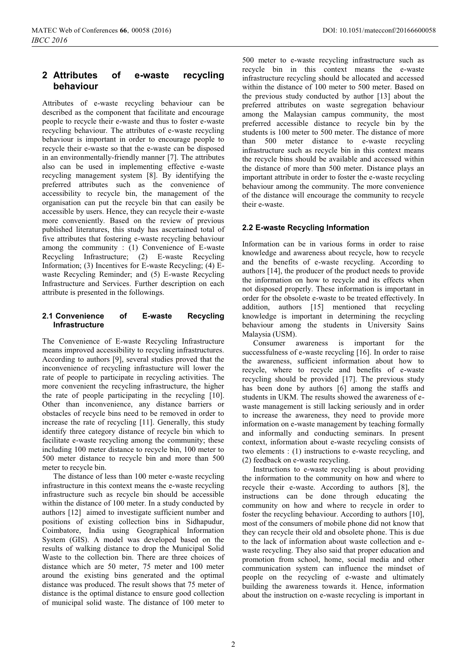## **2 Attributes of e-waste recycling behaviour**

Attributes of e-waste recycling behaviour can be described as the component that facilitate and encourage people to recycle their e-waste and thus to foster e-waste recycling behaviour. The attributes of e-waste recycling behaviour is important in order to encourage people to recycle their e-waste so that the e-waste can be disposed in an environmentally-friendly manner [7]. The attributes also can be used in implementing effective e-waste recycling management system [8]. By identifying the preferred attributes such as the convenience of accessibility to recycle bin, the management of the organisation can put the recycle bin that can easily be accessible by users. Hence, they can recycle their e-waste more conveniently. Based on the review of previous published literatures, this study has ascertained total of five attributes that fostering e-waste recycling behaviour among the community : (1) Convenience of E-waste Recycling Infrastructure; (2) E-waste Recycling Information; (3) Incentives for E-waste Recycling; (4) Ewaste Recycling Reminder; and (5) E-waste Recycling Infrastructure and Services. Further description on each attribute is presented in the followings.

### **2.1Convenience of E-waste Recycling Infrastructure**

The Convenience of E-waste Recycling Infrastructure means improved accessibility to recycling infrastructures. According to authors [9], several studies proved that the inconvenience of recycling infrastucture will lower the rate of people to participate in recycling activities. The more convenient the recycling infrastructure, the higher the rate of people participating in the recycling [10]. Other than inconvenience, any distance barriers or obstacles of recycle bins need to be removed in order to increase the rate of recycling [11]. Generally, this study identify three category distance of recycle bin which to facilitate e-waste recycling among the community; these including 100 meter distance to recycle bin, 100 meter to 500 meter distance to recycle bin and more than 500 meter to recycle bin.

The distance of less than 100 meter e-waste recycling infrastructure in this context means the e-waste recycling infrastructure such as recycle bin should be accessible within the distance of 100 meter. In a study conducted by authors [12] aimed to investigate sufficient number and positions of existing collection bins in Sidhapudur, Coimbatore, India using Geographical Information System (GIS). A model was developed based on the results of walking distance to drop the Municipal Solid Waste to the collection bin. There are three choices of distance which are 50 meter, 75 meter and 100 meter around the existing bins generated and the optimal distance was produced. The result shows that 75 meter of distance is the optimal distance to ensure good collection of municipal solid waste. The distance of 100 meter to

500 meter to e-waste recycling infrastructure such as recycle bin in this context means the e-waste infrastructure recycling should be allocated and accessed within the distance of 100 meter to 500 meter. Based on the previous study conducted by author [13] about the preferred attributes on waste segregation behaviour among the Malaysian campus community, the most preferred accessible distance to recycle bin by the students is 100 meter to 500 meter. The distance of more than 500 meter distance to e-waste recycling infrastructure such as recycle bin in this context means the recycle bins should be available and accessed within the distance of more than 500 meter. Distance plays an important attribute in order to foster the e-waste recycling behaviour among the community. The more convenience of the distance will encourage the community to recycle their e-waste.

### **2.2E-waste Recycling Information**

Information can be in various forms in order to raise knowledge and awareness about recycle, how to recycle and the benefits of e-waste recycling. According to authors [14], the producer of the product needs to provide the information on how to recycle and its effects when not disposed properly. These information is important in order for the obsolete e-waste to be treated effectively. In addition, authors [15] mentioned that recycling knowledge is important in determining the recycling behaviour among the students in University Sains Malaysia (USM).

Consumer awareness is important for the successfulness of e-waste recycling [16]. In order to raise the awareness, sufficient information about how to recycle, where to recycle and benefits of e-waste recycling should be provided [17]. The previous study has been done by authors [6] among the staffs and students in UKM. The results showed the awareness of ewaste management is still lacking seriously and in order to increase the awareness, they need to provide more information on e-waste management by teaching formally and informally and conducting seminars. In present context, information about e-waste recycling consists of two elements : (1) instructions to e-waste recycling, and (2) feedback on e-waste recycling.

Instructions to e-waste recycling is about providing the information to the community on how and where to recycle their e-waste. According to authors [8], the instructions can be done through educating the community on how and where to recycle in order to foster the recycling behaviour. According to authors [10], most of the consumers of mobile phone did not know that they can recycle their old and obsolete phone. This is due to the lack of information about waste collection and ewaste recycling. They also said that proper education and promotion from school, home, social media and other communication system can influence the mindset of people on the recycling of e-waste and ultimately building the awareness towards it. Hence, information about the instruction on e-waste recycling is important in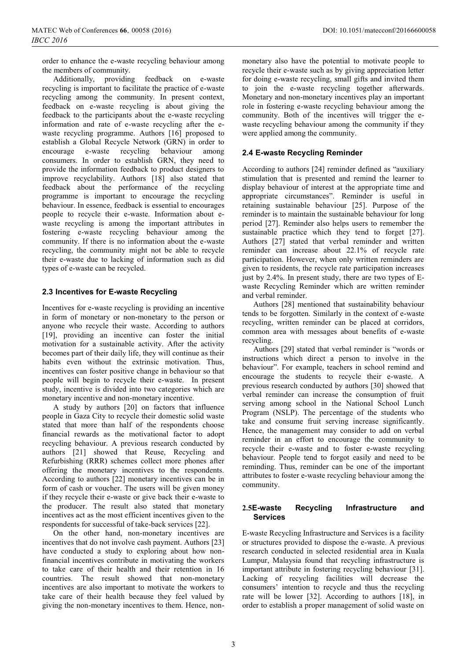order to enhance the e-waste recycling behaviour among the members of community.

Additionally, providing feedback on e-waste recycling is important to facilitate the practice of e-waste recycling among the community. In present context, feedback on e-waste recycling is about giving the feedback to the participants about the e-waste recycling information and rate of e-waste recycling after the ewaste recycling programme. Authors [16] proposed to establish a Global Recycle Network (GRN) in order to encourage e-waste recycling behaviour among consumers. In order to establish GRN, they need to provide the information feedback to product designers to improve recyclability. Authors [18] also stated that feedback about the performance of the recycling programme is important to encourage the recycling behaviour. In essence, feedback is essential to encourages people to recycle their e-waste. Information about ewaste recycling is among the important attributes in fostering e-waste recycling behaviour among the community. If there is no information about the e-waste recycling, the community might not be able to recycle their e-waste due to lacking of information such as did types of e-waste can be recycled.

#### **2.3 Incentives for E-waste Recycling**

Incentives for e-waste recycling is providing an incentive in form of monetary or non-monetary to the person or anyone who recycle their waste. According to authors [19], providing an incentive can foster the initial motivation for a sustainable activity. After the activity becomes part of their daily life, they will continue as their habits even without the extrinsic motivation. Thus, incentives can foster positive change in behaviour so that people will begin to recycle their e-waste. In present study, incentive is divided into two categories which are monetary incentive and non-monetary incentive.

A study by authors [20] on factors that influence people in Gaza City to recycle their domestic solid waste stated that more than half of the respondents choose financial rewards as the motivational factor to adopt recycling behaviour. A previous research conducted by authors [21] showed that Reuse, Recycling and Refurbishing (RRR) schemes collect more phones after offering the monetary incentives to the respondents. According to authors [22] monetary incentives can be in form of cash or voucher. The users will be given money if they recycle their e-waste or give back their e-waste to the producer. The result also stated that monetary incentives act as the most efficient incentives given to the respondents for successful of take-back services [22].

On the other hand, non-monetary incentives are incentives that do not involve cash payment. Authors [23] have conducted a study to exploring about how nonfinancial incentives contribute in motivating the workers to take care of their health and their retention in 16 countries. The result showed that non-monetary incentives are also important to motivate the workers to take care of their health because they feel valued by giving the non-monetary incentives to them. Hence, non-

monetary also have the potential to motivate people to recycle their e-waste such as by giving appreciation letter for doing e-waste recycling, small gifts and invited them to join the e-waste recycling together afterwards. Monetary and non-monetary incentives play an important role in fostering e-waste recycling behaviour among the community. Both of the incentives will trigger the ewaste recycling behaviour among the community if they were applied among the community.

#### **2.4E-waste Recycling Reminder**

According to authors [24] reminder defined as "auxiliary stimulation that is presented and remind the learner to display behaviour of interest at the appropriate time and appropriate circumstances". Reminder is useful in retaining sustainable behaviour [25]. Purpose of the reminder is to maintain the sustainable behaviour for long period [27]. Reminder also helps users to remember the sustainable practice which they tend to forget [27]. Authors [27] stated that verbal reminder and written reminder can increase about 22.1% of recycle rate participation. However, when only written reminders are given to residents, the recycle rate participation increases just by 2.4%. In present study, there are two types of Ewaste Recycling Reminder which are written reminder and verbal reminder.

Authors [28] mentioned that sustainability behaviour tends to be forgotten. Similarly in the context of e-waste recycling, written reminder can be placed at corridors, common area with messages about benefits of e-waste recycling.

Authors [29] stated that verbal reminder is "words or instructions which direct a person to involve in the behaviour". For example, teachers in school remind and encourage the students to recycle their e-waste. A previous research conducted by authors [30] showed that verbal reminder can increase the consumption of fruit serving among school in the National School Lunch Program (NSLP). The percentage of the students who take and consume fruit serving increase significantly. Hence, the management may consider to add on verbal reminder in an effort to encourage the community to recycle their e-waste and to foster e-waste recycling behaviour. People tend to forgot easily and need to be reminding. Thus, reminder can be one of the important attributes to foster e-waste recycling behaviour among the community.

#### **2.5E-waste Recycling Infrastructure and Services**

E-waste Recycling Infrastructure and Services is a facility or structures provided to dispose the e-waste. A previous research conducted in selected residential area in Kuala Lumpur, Malaysia found that recycling infrastructure is important attribute in fostering recycling behaviour [31]. Lacking of recycling facilities will decrease the consumers' intention to recycle and thus the recycling rate will be lower [32]. According to authors [18], in order to establish a proper management of solid waste on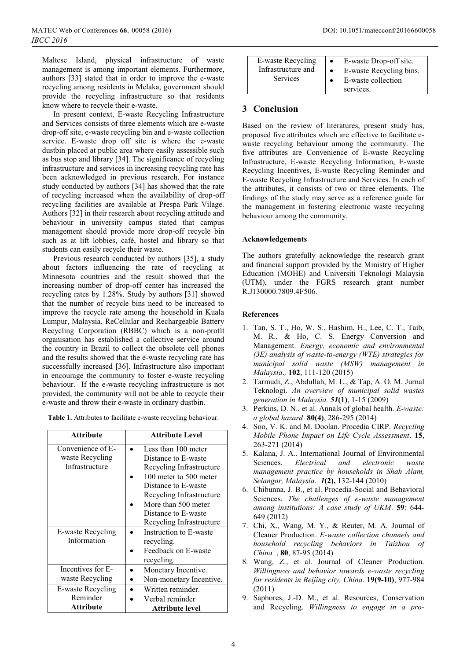Maltese Island, physical infrastructure of waste management is among important elements. Furthermore, authors [33] stated that in order to improve the e-waste recycling among residents in Melaka, government should provide the recycling infrastructure so that residents know where to recycle their e-waste.

In present context, E-waste Recycling Infrastructure and Services consists of three elements which are e-waste drop-off site, e-waste recycling bin and e-waste collection service. E-waste drop off site is where the e-waste dustbin placed at public area where easily assessible such as bus stop and library [34]. The significance of recycling infrastructure and services in increasing recycling rate has been acknowledged in previous research. For instance study conducted by authors [34] has showed that the rate of recycling increased when the availability of drop-off recycling facilities are available at Prespa Park Vilage. Authors [32] in their research about recycling attitude and behaviour in university campus stated that campus management should provide more drop-off recycle bin such as at lift lobbies, café, hostel and library so that students can easily recycle their waste.

Previous research conducted by authors [35], a study about factors influencing the rate of recycling at Minnesota countries and the result showed that the increasing number of drop-off center has increased the recycling rates by 1.28%. Study by authors [31] showed that the number of recycle bins need to be increased to improve the recycle rate among the household in Kuala Lumpur, Malaysia. ReCellular and Rechargeable Battery Recycling Corporation (RBBC) which is a non-profit organisation has established a collective service around the country in Brazil to collect the obsolete cell phones and the results showed that the e-waste recycling rate has successfully increased [36]. Infrastructure also important in encourage the community to foster e-waste recycling behaviour. If the e-waste recycling infrastructure is not provided, the community will not be able to recycle their e-waste and throw their e-waste in ordinary dustbin.

**Table 1.** Attributes to facilitate e-waste recycling behaviour.

| <b>Attribute</b>  | <b>Attribute Level</b>   |
|-------------------|--------------------------|
| Convenience of E- | Less than 100 meter      |
| waste Recycling   | Distance to E-waste      |
| Infrastructure    | Recycling Infrastructure |
|                   | 100 meter to 500 meter   |
|                   | Distance to E-waste      |
|                   | Recycling Infrastructure |
|                   | More than 500 meter      |
|                   | Distance to E-waste      |
|                   | Recycling Infrastructure |
| E-waste Recycling | Instruction to E-waste   |
| Information       | recycling.               |
|                   | Feedback on E-waste      |
|                   | recycling.               |
| Incentives for E- | Monetary Incentive.      |
| waste Recycling   | Non-monetary Incentive.  |
| E-waste Recycling | Written reminder.        |
| Reminder          | Verbal reminder          |
| Attribute         | Attribute level          |

| E-waste Recycling  | $\bullet$ | E-waste Drop-off site.  |
|--------------------|-----------|-------------------------|
| Infrastructure and |           | E-waste Recycling bins. |
| <b>Services</b>    |           | E-waste collection      |
|                    |           | services.               |

#### **3 Conclusion**

Based on the review of literatures, present study has, proposed five attributes which are effective to facilitate ewaste recycling behaviour among the community. The five attributes are Convenience of E-waste Recycling Infrastructure, E-waste Recycling Information, E-waste Recycling Incentives, E-waste Recycling Reminder and E-waste Recycling Infrastructure and Services. In each of the attributes, it consists of two or three elements. The findings of the study may serve as a reference guide for the management in fostering electronic waste recycling behaviour among the community.

#### **Acknowledgements**

The authors gratefully acknowledge the research grant and financial support provided by the Ministry of Higher Education (MOHE) and Universiti Teknologi Malaysia (UTM), under the FGRS research grant number R.J130000.7809.4F506.

#### **References**

- 1. Tan, S. T., Ho, W. S., Hashim, H., Lee, C. T., Taib, M. R., & Ho, C. S. Energy Conversion and Management. *Energy, economic and environmental (3E) analysis of waste-to-energy (WTE) strategies for municipal solid waste (MSW) management in Malaysia*.*,* **102**, 111-120 (2015)
- 2. Tarmudi, Z., Abdullah, M. L., & Tap, A. O. M. Jurnal Teknologi. *An overview of municipal solid wastes generation in Malaysia. 51***(1)**, 1-15 (2009)
- 3. Perkins, D. N., et al. Annals of global health. *E-waste: a global hazard*. **80(4)**, 286-295 (2014)
- 4. Soo, V. K. and M. Doolan. Procedia CIRP. *Recycling Mobile Phone Impact on Life Cycle Assessment*. **15**, 263-271 (2014)
- 5. Kalana, J. A.. International Journal of Environmental Sciences. *Electrical and electronic waste management practice by households in Shah Alam, Selangor, Malaysia*. *1***(2),** 132-144 (2010)
- 6. Chibunna, J. B., et al. Procedia-Social and Behavioral Sciences. *The challenges of e-waste management among institutions: A case study of UKM*. **59**: 644- 649 (2012)
- 7. Chi, X., Wang, M. Y., & Reuter, M. A. Journal of Cleaner Production. *E-waste collection channels and household recycling behaviors in Taizhou of China.* , **80**, 87-95 (2014)
- 8. Wang, Z., et al. Journal of Cleaner Production. *Willingness and behavior towards e-waste recycling for residents in Beijing city, China*. **19(9-10)**, 977-984 (2011)
- 9. Saphores, J.-D. M., et al. Resources, Conservation and Recycling. *Willingness to engage in a pro-*